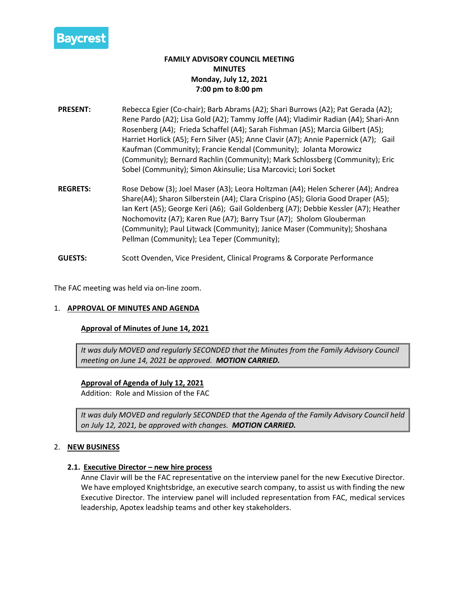

# **FAMILY ADVISORY COUNCIL MEETING MINUTES Monday, July 12, 2021 7:00 pm to 8:00 pm**

- **PRESENT:** Rebecca Egier (Co-chair); Barb Abrams (A2); Shari Burrows (A2); Pat Gerada (A2); Rene Pardo (A2); Lisa Gold (A2); Tammy Joffe (A4); Vladimir Radian (A4); Shari-Ann Rosenberg (A4); Frieda Schaffel (A4); Sarah Fishman (A5); Marcia Gilbert (A5); Harriet Horlick (A5); Fern Silver (A5); Anne Clavir (A7); Annie Papernick (A7); Gail Kaufman (Community); Francie Kendal (Community); Jolanta Morowicz (Community); Bernard Rachlin (Community); Mark Schlossberg (Community); Eric Sobel (Community); Simon Akinsulie; Lisa Marcovici; Lori Socket
- **REGRETS:** Rose Debow (3); Joel Maser (A3); Leora Holtzman (A4); Helen Scherer (A4); Andrea Share(A4); Sharon Silberstein (A4); Clara Crispino (A5); Gloria Good Draper (A5); Ian Kert (A5); George Keri (A6); Gail Goldenberg (A7); Debbie Kessler (A7); Heather Nochomovitz (A7); Karen Rue (A7); Barry Tsur (A7); Sholom Glouberman (Community); Paul Litwack (Community); Janice Maser (Community); Shoshana Pellman (Community); Lea Teper (Community);
- **GUESTS:** Scott Ovenden, Vice President, Clinical Programs & Corporate Performance

The FAC meeting was held via on-line zoom.

#### 1. **APPROVAL OF MINUTES AND AGENDA**

#### **Approval of Minutes of June 14, 2021**

*It was duly MOVED and regularly SECONDED that the Minutes from the Family Advisory Council meeting on June 14, 2021 be approved. MOTION CARRIED.*

## **Approval of Agenda of July 12, 2021**

Addition: Role and Mission of the FAC

*It was duly MOVED and regularly SECONDED that the Agenda of the Family Advisory Council held on July 12, 2021, be approved with changes. MOTION CARRIED.*

#### 2. **NEW BUSINESS**

#### **2.1. Executive Director – new hire process**

Anne Clavir will be the FAC representative on the interview panel for the new Executive Director. We have employed Knightsbridge, an executive search company, to assist us with finding the new Executive Director. The interview panel will included representation from FAC, medical services leadership, Apotex leadship teams and other key stakeholders.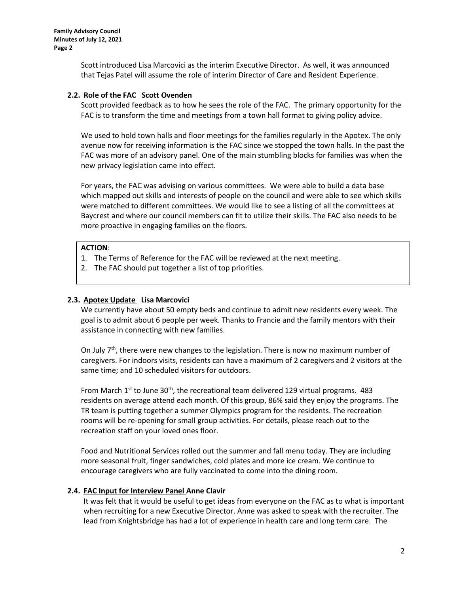**Family Advisory Council Minutes of July 12, 2021 Page 2**

> Scott introduced Lisa Marcovici as the interim Executive Director. As well, it was announced that Tejas Patel will assume the role of interim Director of Care and Resident Experience.

### **2.2. Role of the FAC Scott Ovenden**

Scott provided feedback as to how he sees the role of the FAC. The primary opportunity for the FAC is to transform the time and meetings from a town hall format to giving policy advice.

We used to hold town halls and floor meetings for the families regularly in the Apotex. The only avenue now for receiving information is the FAC since we stopped the town halls. In the past the FAC was more of an advisory panel. One of the main stumbling blocks for families was when the new privacy legislation came into effect.

For years, the FAC was advising on various committees. We were able to build a data base which mapped out skills and interests of people on the council and were able to see which skills were matched to different committees. We would like to see a listing of all the committees at Baycrest and where our council members can fit to utilize their skills. The FAC also needs to be more proactive in engaging families on the floors.

### **ACTION**:

- 1. The Terms of Reference for the FAC will be reviewed at the next meeting.
- 2. The FAC should put together a list of top priorities.

#### **2.3. Apotex Update Lisa Marcovici**

We currently have about 50 empty beds and continue to admit new residents every week. The goal is to admit about 6 people per week. Thanks to Francie and the family mentors with their assistance in connecting with new families.

On July  $7<sup>th</sup>$ , there were new changes to the legislation. There is now no maximum number of caregivers. For indoors visits, residents can have a maximum of 2 caregivers and 2 visitors at the same time; and 10 scheduled visitors for outdoors.

From March  $1<sup>st</sup>$  to June 30<sup>th</sup>, the recreational team delivered 129 virtual programs. 483 residents on average attend each month. Of this group, 86% said they enjoy the programs. The TR team is putting together a summer Olympics program for the residents. The recreation rooms will be re-opening for small group activities. For details, please reach out to the recreation staff on your loved ones floor.

Food and Nutritional Services rolled out the summer and fall menu today. They are including more seasonal fruit, finger sandwiches, cold plates and more ice cream. We continue to encourage caregivers who are fully vaccinated to come into the dining room.

#### **2.4. FAC Input for Interview Panel Anne Clavir**

It was felt that it would be useful to get ideas from everyone on the FAC as to what is important when recruiting for a new Executive Director. Anne was asked to speak with the recruiter. The lead from Knightsbridge has had a lot of experience in health care and long term care. The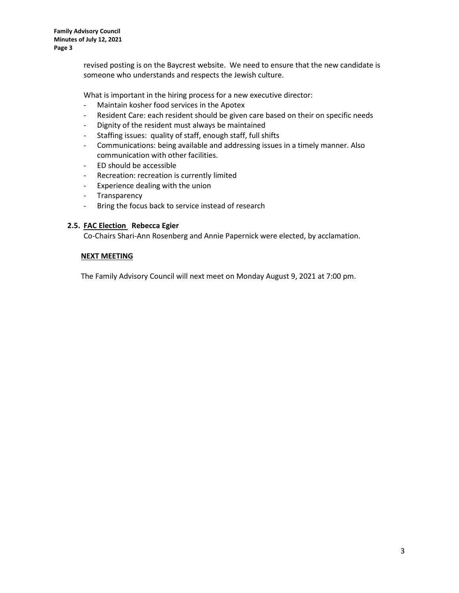**Family Advisory Council Minutes of July 12, 2021 Page 3**

> revised posting is on the Baycrest website. We need to ensure that the new candidate is someone who understands and respects the Jewish culture.

What is important in the hiring process for a new executive director:

- Maintain kosher food services in the Apotex
- Resident Care: each resident should be given care based on their on specific needs
- Dignity of the resident must always be maintained
- Staffing issues: quality of staff, enough staff, full shifts
- Communications: being available and addressing issues in a timely manner. Also communication with other facilities.
- ED should be accessible
- Recreation: recreation is currently limited
- Experience dealing with the union
- Transparency
- Bring the focus back to service instead of research

### **2.5. FAC Election Rebecca Egier**

Co-Chairs Shari-Ann Rosenberg and Annie Papernick were elected, by acclamation.

#### **NEXT MEETING**

The Family Advisory Council will next meet on Monday August 9, 2021 at 7:00 pm.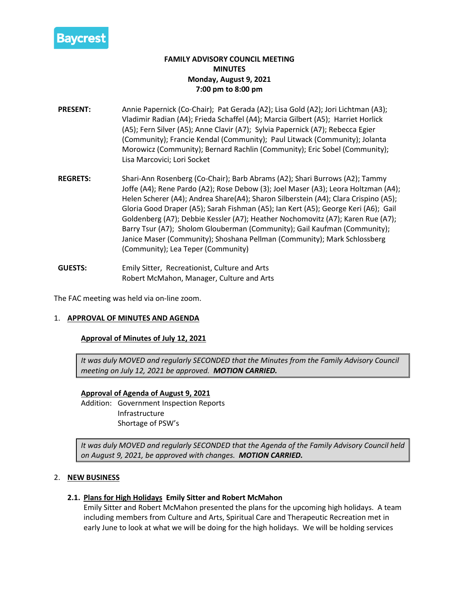

# **FAMILY ADVISORY COUNCIL MEETING MINUTES Monday, August 9, 2021 7:00 pm to 8:00 pm**

- **PRESENT:** Annie Papernick (Co-Chair); Pat Gerada (A2); Lisa Gold (A2); Jori Lichtman (A3); Vladimir Radian (A4); Frieda Schaffel (A4); Marcia Gilbert (A5); Harriet Horlick (A5); Fern Silver (A5); Anne Clavir (A7); Sylvia Papernick (A7); Rebecca Egier (Community); Francie Kendal (Community); Paul Litwack (Community); Jolanta Morowicz (Community); Bernard Rachlin (Community); Eric Sobel (Community); Lisa Marcovici; Lori Socket
- **REGRETS:** Shari-Ann Rosenberg (Co-Chair); Barb Abrams (A2); Shari Burrows (A2); Tammy Joffe (A4); Rene Pardo (A2); Rose Debow (3); Joel Maser (A3); Leora Holtzman (A4); Helen Scherer (A4); Andrea Share(A4); Sharon Silberstein (A4); Clara Crispino (A5); Gloria Good Draper (A5); Sarah Fishman (A5); Ian Kert (A5); George Keri (A6); Gail Goldenberg (A7); Debbie Kessler (A7); Heather Nochomovitz (A7); Karen Rue (A7); Barry Tsur (A7); Sholom Glouberman (Community); Gail Kaufman (Community); Janice Maser (Community); Shoshana Pellman (Community); Mark Schlossberg (Community); Lea Teper (Community)
- **GUESTS:** Emily Sitter, Recreationist, Culture and Arts Robert McMahon, Manager, Culture and Arts

The FAC meeting was held via on-line zoom.

## 1. **APPROVAL OF MINUTES AND AGENDA**

## **Approval of Minutes of July 12, 2021**

*It was duly MOVED and regularly SECONDED that the Minutes from the Family Advisory Council meeting on July 12, 2021 be approved. MOTION CARRIED.*

## **Approval of Agenda of August 9, 2021**

Addition: Government Inspection Reports Infrastructure Shortage of PSW's

*It was duly MOVED and regularly SECONDED that the Agenda of the Family Advisory Council held on August 9, 2021, be approved with changes. MOTION CARRIED.*

## 2. **NEW BUSINESS**

## **2.1. Plans for High Holidays Emily Sitter and Robert McMahon**

Emily Sitter and Robert McMahon presented the plans for the upcoming high holidays. A team including members from Culture and Arts, Spiritual Care and Therapeutic Recreation met in early June to look at what we will be doing for the high holidays. We will be holding services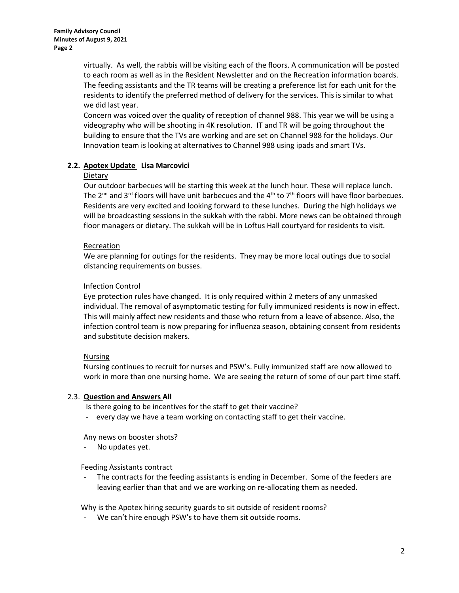virtually. As well, the rabbis will be visiting each of the floors. A communication will be posted to each room as well as in the Resident Newsletter and on the Recreation information boards. The feeding assistants and the TR teams will be creating a preference list for each unit for the residents to identify the preferred method of delivery for the services. This is similar to what we did last year.

Concern was voiced over the quality of reception of channel 988. This year we will be using a videography who will be shooting in 4K resolution. IT and TR will be going throughout the building to ensure that the TVs are working and are set on Channel 988 for the holidays. Our Innovation team is looking at alternatives to Channel 988 using ipads and smart TVs.

# **2.2. Apotex Update Lisa Marcovici**

## Dietary

Our outdoor barbecues will be starting this week at the lunch hour. These will replace lunch. The 2<sup>nd</sup> and 3<sup>rd</sup> floors will have unit barbecues and the 4<sup>th</sup> to 7<sup>th</sup> floors will have floor barbecues. Residents are very excited and looking forward to these lunches. During the high holidays we will be broadcasting sessions in the sukkah with the rabbi. More news can be obtained through floor managers or dietary. The sukkah will be in Loftus Hall courtyard for residents to visit.

# Recreation

We are planning for outings for the residents. They may be more local outings due to social distancing requirements on busses.

# Infection Control

Eye protection rules have changed. It is only required within 2 meters of any unmasked individual. The removal of asymptomatic testing for fully immunized residents is now in effect. This will mainly affect new residents and those who return from a leave of absence. Also, the infection control team is now preparing for influenza season, obtaining consent from residents and substitute decision makers.

# Nursing

Nursing continues to recruit for nurses and PSW's. Fully immunized staff are now allowed to work in more than one nursing home. We are seeing the return of some of our part time staff.

## 2.3. **Question and Answers All**

Is there going to be incentives for the staff to get their vaccine?

- every day we have a team working on contacting staff to get their vaccine.

Any news on booster shots?

No updates yet.

Feeding Assistants contract

The contracts for the feeding assistants is ending in December. Some of the feeders are leaving earlier than that and we are working on re-allocating them as needed.

Why is the Apotex hiring security guards to sit outside of resident rooms?

We can't hire enough PSW's to have them sit outside rooms.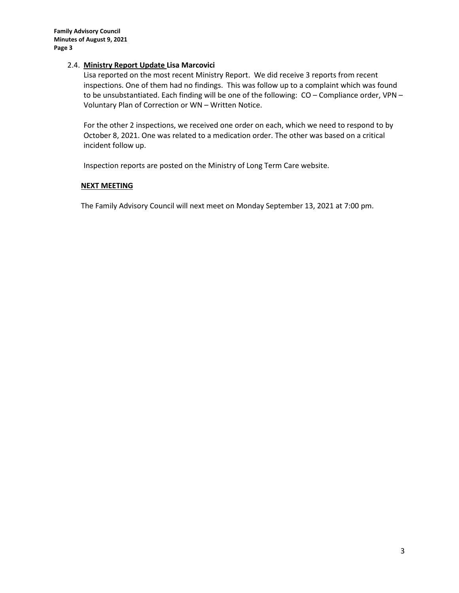### 2.4. **Ministry Report Update Lisa Marcovici**

Lisa reported on the most recent Ministry Report. We did receive 3 reports from recent inspections. One of them had no findings. This was follow up to a complaint which was found to be unsubstantiated. Each finding will be one of the following: CO – Compliance order, VPN – Voluntary Plan of Correction or WN – Written Notice.

For the other 2 inspections, we received one order on each, which we need to respond to by October 8, 2021. One was related to a medication order. The other was based on a critical incident follow up.

Inspection reports are posted on the Ministry of Long Term Care website.

## **NEXT MEETING**

The Family Advisory Council will next meet on Monday September 13, 2021 at 7:00 pm.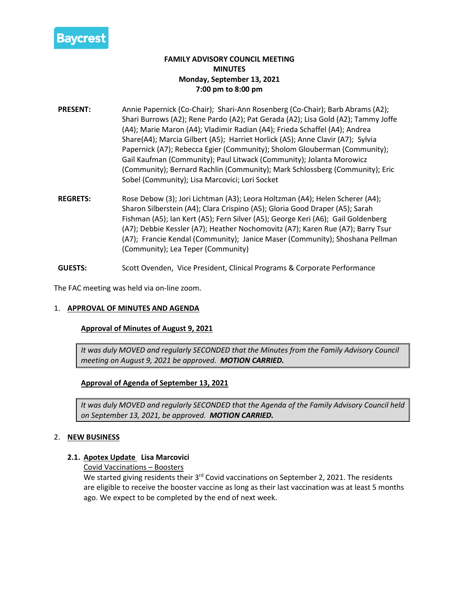

# **FAMILY ADVISORY COUNCIL MEETING MINUTES Monday, September 13, 2021 7:00 pm to 8:00 pm**

- **PRESENT:** Annie Papernick (Co-Chair); Shari-Ann Rosenberg (Co-Chair); Barb Abrams (A2); Shari Burrows (A2); Rene Pardo (A2); Pat Gerada (A2); Lisa Gold (A2); Tammy Joffe (A4); Marie Maron (A4); Vladimir Radian (A4); Frieda Schaffel (A4); Andrea Share(A4); Marcia Gilbert (A5); Harriet Horlick (A5); Anne Clavir (A7); Sylvia Papernick (A7); Rebecca Egier (Community); Sholom Glouberman (Community); Gail Kaufman (Community); Paul Litwack (Community); Jolanta Morowicz (Community); Bernard Rachlin (Community); Mark Schlossberg (Community); Eric Sobel (Community); Lisa Marcovici; Lori Socket
- **REGRETS:** Rose Debow (3); Jori Lichtman (A3); Leora Holtzman (A4); Helen Scherer (A4); Sharon Silberstein (A4); Clara Crispino (A5); Gloria Good Draper (A5); Sarah Fishman (A5); Ian Kert (A5); Fern Silver (A5); George Keri (A6); Gail Goldenberg (A7); Debbie Kessler (A7); Heather Nochomovitz (A7); Karen Rue (A7); Barry Tsur (A7); Francie Kendal (Community); Janice Maser (Community); Shoshana Pellman (Community); Lea Teper (Community)
- **GUESTS:** Scott Ovenden, Vice President, Clinical Programs & Corporate Performance

The FAC meeting was held via on-line zoom.

## 1. **APPROVAL OF MINUTES AND AGENDA**

#### **Approval of Minutes of August 9, 2021**

*It was duly MOVED and regularly SECONDED that the Minutes from the Family Advisory Council meeting on August 9, 2021 be approved. MOTION CARRIED.*

## **Approval of Agenda of September 13, 2021**

*It was duly MOVED and regularly SECONDED that the Agenda of the Family Advisory Council held on September 13, 2021, be approved. MOTION CARRIED.*

## 2. **NEW BUSINESS**

#### **2.1. Apotex Update Lisa Marcovici**

Covid Vaccinations – Boosters

We started giving residents their 3<sup>rd</sup> Covid vaccinations on September 2, 2021. The residents are eligible to receive the booster vaccine as long as their last vaccination was at least 5 months ago. We expect to be completed by the end of next week.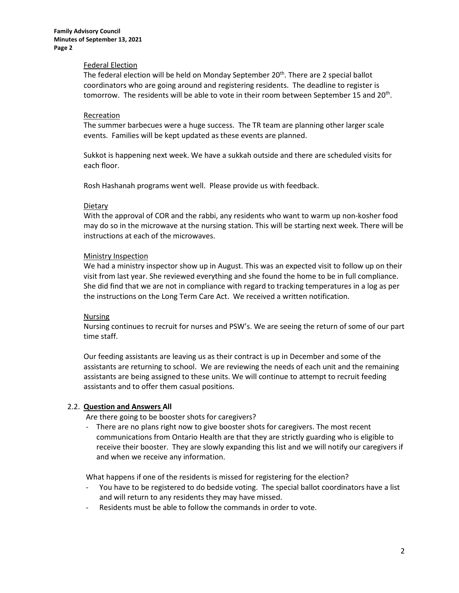#### Federal Election

The federal election will be held on Monday September  $20<sup>th</sup>$ . There are 2 special ballot coordinators who are going around and registering residents. The deadline to register is tomorrow. The residents will be able to vote in their room between September 15 and 20<sup>th</sup>.

#### **Recreation**

The summer barbecues were a huge success. The TR team are planning other larger scale events. Families will be kept updated as these events are planned.

Sukkot is happening next week. We have a sukkah outside and there are scheduled visits for each floor.

Rosh Hashanah programs went well. Please provide us with feedback.

### Dietary

With the approval of COR and the rabbi, any residents who want to warm up non-kosher food may do so in the microwave at the nursing station. This will be starting next week. There will be instructions at each of the microwaves.

### Ministry Inspection

We had a ministry inspector show up in August. This was an expected visit to follow up on their visit from last year. She reviewed everything and she found the home to be in full compliance. She did find that we are not in compliance with regard to tracking temperatures in a log as per the instructions on the Long Term Care Act. We received a written notification.

#### **Nursing**

Nursing continues to recruit for nurses and PSW's. We are seeing the return of some of our part time staff.

Our feeding assistants are leaving us as their contract is up in December and some of the assistants are returning to school. We are reviewing the needs of each unit and the remaining assistants are being assigned to these units. We will continue to attempt to recruit feeding assistants and to offer them casual positions.

## 2.2. **Question and Answers All**

Are there going to be booster shots for caregivers?

There are no plans right now to give booster shots for caregivers. The most recent communications from Ontario Health are that they are strictly guarding who is eligible to receive their booster. They are slowly expanding this list and we will notify our caregivers if and when we receive any information.

What happens if one of the residents is missed for registering for the election?

- You have to be registered to do bedside voting. The special ballot coordinators have a list and will return to any residents they may have missed.
- Residents must be able to follow the commands in order to vote.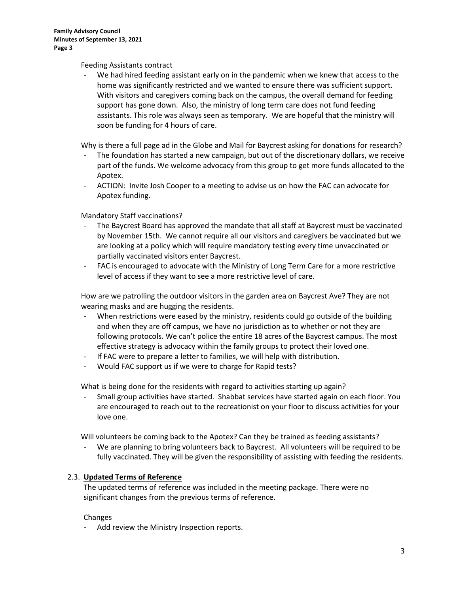### Feeding Assistants contract

We had hired feeding assistant early on in the pandemic when we knew that access to the home was significantly restricted and we wanted to ensure there was sufficient support. With visitors and caregivers coming back on the campus, the overall demand for feeding support has gone down. Also, the ministry of long term care does not fund feeding assistants. This role was always seen as temporary. We are hopeful that the ministry will soon be funding for 4 hours of care.

Why is there a full page ad in the Globe and Mail for Baycrest asking for donations for research?

- The foundation has started a new campaign, but out of the discretionary dollars, we receive part of the funds. We welcome advocacy from this group to get more funds allocated to the Apotex.
- ACTION: Invite Josh Cooper to a meeting to advise us on how the FAC can advocate for Apotex funding.

Mandatory Staff vaccinations?

- The Baycrest Board has approved the mandate that all staff at Baycrest must be vaccinated by November 15th. We cannot require all our visitors and caregivers be vaccinated but we are looking at a policy which will require mandatory testing every time unvaccinated or partially vaccinated visitors enter Baycrest.
- FAC is encouraged to advocate with the Ministry of Long Term Care for a more restrictive level of access if they want to see a more restrictive level of care.

How are we patrolling the outdoor visitors in the garden area on Baycrest Ave? They are not wearing masks and are hugging the residents.

- When restrictions were eased by the ministry, residents could go outside of the building and when they are off campus, we have no jurisdiction as to whether or not they are following protocols. We can't police the entire 18 acres of the Baycrest campus. The most effective strategy is advocacy within the family groups to protect their loved one.
- If FAC were to prepare a letter to families, we will help with distribution.
- Would FAC support us if we were to charge for Rapid tests?

What is being done for the residents with regard to activities starting up again?

- Small group activities have started. Shabbat services have started again on each floor. You are encouraged to reach out to the recreationist on your floor to discuss activities for your love one.

Will volunteers be coming back to the Apotex? Can they be trained as feeding assistants?

We are planning to bring volunteers back to Baycrest. All volunteers will be required to be fully vaccinated. They will be given the responsibility of assisting with feeding the residents.

## 2.3. **Updated Terms of Reference**

The updated terms of reference was included in the meeting package. There were no significant changes from the previous terms of reference.

#### Changes

Add review the Ministry Inspection reports.